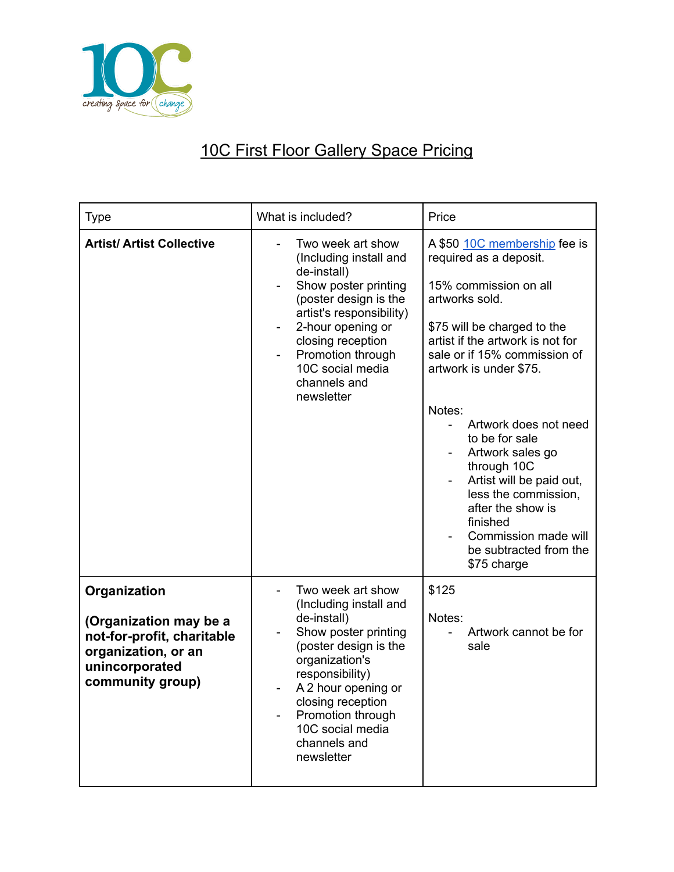

## 10C First Floor Gallery Space Pricing

| <b>Type</b>                                                                                                                       | What is included?                                                                                                                                                                                                                                                   | Price                                                                                                                                                                                                                                                                                                                                                                                                                                                                        |
|-----------------------------------------------------------------------------------------------------------------------------------|---------------------------------------------------------------------------------------------------------------------------------------------------------------------------------------------------------------------------------------------------------------------|------------------------------------------------------------------------------------------------------------------------------------------------------------------------------------------------------------------------------------------------------------------------------------------------------------------------------------------------------------------------------------------------------------------------------------------------------------------------------|
| <b>Artist/ Artist Collective</b>                                                                                                  | Two week art show<br>(Including install and<br>de-install)<br>Show poster printing<br>(poster design is the<br>artist's responsibility)<br>2-hour opening or<br>closing reception<br>Promotion through<br>10C social media<br>channels and<br>newsletter            | A \$50 10C membership fee is<br>required as a deposit.<br>15% commission on all<br>artworks sold.<br>\$75 will be charged to the<br>artist if the artwork is not for<br>sale or if 15% commission of<br>artwork is under \$75.<br>Notes:<br>Artwork does not need<br>to be for sale<br>Artwork sales go<br>through 10C<br>Artist will be paid out,<br>less the commission,<br>after the show is<br>finished<br>Commission made will<br>be subtracted from the<br>\$75 charge |
| Organization<br>(Organization may be a<br>not-for-profit, charitable<br>organization, or an<br>unincorporated<br>community group) | Two week art show<br>(Including install and<br>de-install)<br>Show poster printing<br>(poster design is the<br>organization's<br>responsibility)<br>A 2 hour opening or<br>closing reception<br>Promotion through<br>10C social media<br>channels and<br>newsletter | \$125<br>Notes:<br>Artwork cannot be for<br>sale                                                                                                                                                                                                                                                                                                                                                                                                                             |